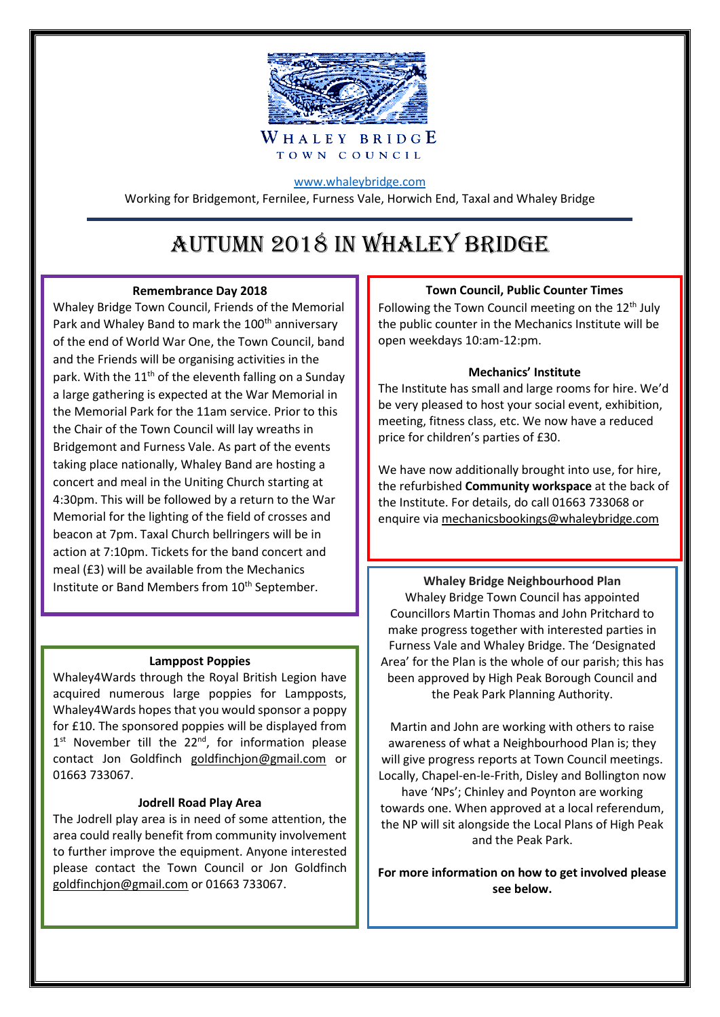

# [www.whaleybridge.com](http://www.whaleybridge.com/)

Working for Bridgemont, Fernilee, Furness Vale, Horwich End, Taxal and Whaley Bridge

# Autumn 2018 IN WHALEY BRIDGE

# **Remembrance Day 2018**

Whaley Bridge Town Council, Friends of the Memorial Park and Whaley Band to mark the 100<sup>th</sup> anniversary of the end of World War One, the Town Council, band and the Friends will be organising activities in the park. With the  $11<sup>th</sup>$  of the eleventh falling on a Sunday a large gathering is expected at the War Memorial in the Memorial Park for the 11am service. Prior to this the Chair of the Town Council will lay wreaths in Bridgemont and Furness Vale. As part of the events taking place nationally, Whaley Band are hosting a concert and meal in the Uniting Church starting at 4:30pm. This will be followed by a return to the War Memorial for the lighting of the field of crosses and beacon at 7pm. Taxal Church bellringers will be in action at 7:10pm. Tickets for the band concert and meal (£3) will be available from the Mechanics Institute or Band Members from 10<sup>th</sup> September. **Whaley Bridge Neighbourhood Plan** 

# **Lamppost Poppies**

Whaley4Wards through the Royal British Legion have acquired numerous large poppies for Lampposts, Whaley4Wards hopes that you would sponsor a poppy for £10. The sponsored poppies will be displayed from 1<sup>st</sup> November till the 22<sup>nd</sup>, for information please contact Jon Goldfinch [goldfinchjon@gmail.com](mailto:goldfinchjon@gmail.com) or 01663 733067.

# **Jodrell Road Play Area**

The Jodrell play area is in need of some attention, the area could really benefit from community involvement to further improve the equipment. Anyone interested please contact the Town Council or Jon Goldfinch goldfinchjon@gmail.com or 01663 733067.

# **Town Council, Public Counter Times**

Following the Town Council meeting on the 12<sup>th</sup> July the public counter in the Mechanics Institute will be open weekdays 10:am-12:pm.

# **Mechanics' Institute**

The Institute has small and large rooms for hire. We'd be very pleased to host your social event, exhibition, meeting, fitness class, etc. We now have a reduced price for children's parties of £30.

We have now additionally brought into use, for hire, the refurbished **Community workspace** at the back of the Institute. For details, do call 01663 733068 or enquire via [mechanicsbookings@whaleybridge.com](mailto:mechanicsbookings@whaleybridge.com)

Whaley Bridge Town Council has appointed Councillors Martin Thomas and John Pritchard to make progress together with interested parties in Furness Vale and Whaley Bridge. The 'Designated Area' for the Plan is the whole of our parish; this has been approved by High Peak Borough Council and the Peak Park Planning Authority.

Martin and John are working with others to raise awareness of what a Neighbourhood Plan is; they will give progress reports at Town Council meetings. Locally, Chapel-en-le-Frith, Disley and Bollington now have 'NPs'; Chinley and Poynton are working towards one. When approved at a local referendum, the NP will sit alongside the Local Plans of High Peak and the Peak Park.

**For more information on how to get involved please see below.**